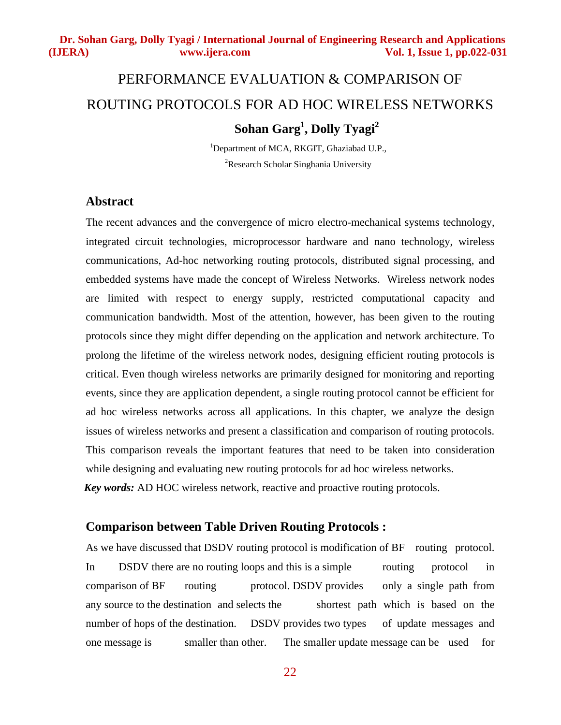# PERFORMANCE EVALUATION & COMPARISON OF ROUTING PROTOCOLS FOR AD HOC WIRELESS NETWORKS **Sohan Garg1 , Dolly Tyagi2**

<sup>1</sup>Department of MCA, RKGIT, Ghaziabad U.P., <sup>2</sup>Research Scholar Singhania University

# **Abstract**

The recent advances and the convergence of micro electro-mechanical systems technology, integrated circuit technologies, microprocessor hardware and nano technology, wireless communications, Ad-hoc networking routing protocols, distributed signal processing, and embedded systems have made the concept of Wireless Networks. Wireless network nodes are limited with respect to energy supply, restricted computational capacity and communication bandwidth. Most of the attention, however, has been given to the routing protocols since they might differ depending on the application and network architecture. To prolong the lifetime of the wireless network nodes, designing efficient routing protocols is critical. Even though wireless networks are primarily designed for monitoring and reporting events, since they are application dependent, a single routing protocol cannot be efficient for ad hoc wireless networks across all applications. In this chapter, we analyze the design issues of wireless networks and present a classification and comparison of routing protocols. This comparison reveals the important features that need to be taken into consideration while designing and evaluating new routing protocols for ad hoc wireless networks.  *Key words:* AD HOC wireless network, reactive and proactive routing protocols.

# **Comparison between Table Driven Routing Protocols :**

As we have discussed that DSDV routing protocol is modification of BF routing protocol. In DSDV there are no routing loops and this is a simple routing protocol in comparison of BF routing protocol. DSDV provides only a single path from any source to the destination and selects the shortest path which is based on the number of hops of the destination. DSDV provides two types of update messages and one message is smaller than other. The smaller update message can be used for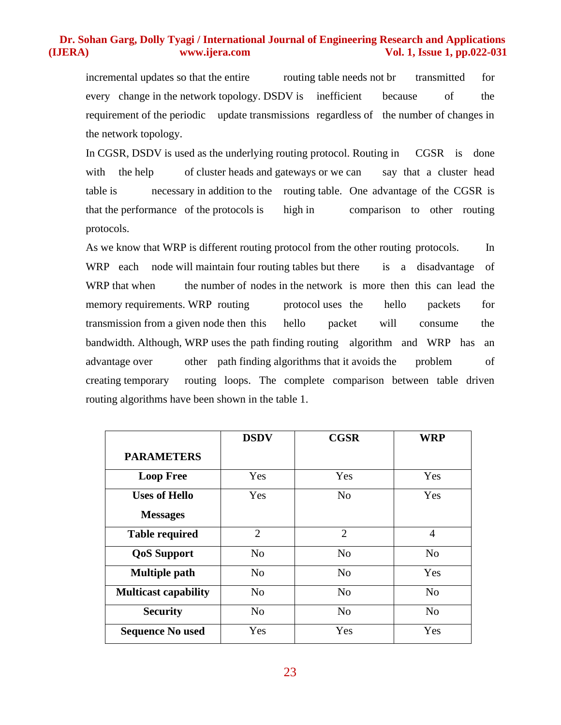incremental updates so that the entire routing table needs not br transmitted for every change in the network topology. DSDV is inefficient because of the requirement of the periodic update transmissions regardless of the number of changes in the network topology.

In CGSR, DSDV is used as the underlying routing protocol. Routing in CGSR is done with the help of cluster heads and gateways or we can say that a cluster head table is necessary in addition to the routing table. One advantage of the CGSR is that the performance of the protocols is high in comparison to other routing protocols.

As we know that WRP is different routing protocol from the other routing protocols. In WRP each node will maintain four routing tables but there is a disadvantage of WRP that when the number of nodes in the network is more then this can lead the memory requirements. WRP routing protocol uses the hello packets for transmission from a given node then this hello packet will consume the bandwidth. Although, WRP uses the path finding routing algorithm and WRP has an advantage over other path finding algorithms that it avoids the problem of creating temporary routing loops. The complete comparison between table driven routing algorithms have been shown in the table 1.

|                             | <b>DSDV</b>    | <b>CGSR</b>    | <b>WRP</b>     |
|-----------------------------|----------------|----------------|----------------|
| <b>PARAMETERS</b>           |                |                |                |
| <b>Loop Free</b>            | Yes            | Yes            | Yes            |
| <b>Uses of Hello</b>        | Yes            | No             | Yes            |
| <b>Messages</b>             |                |                |                |
| <b>Table required</b>       | $\overline{2}$ | $\overline{2}$ | 4              |
| <b>QoS</b> Support          | N <sub>0</sub> | N <sub>0</sub> | No             |
| <b>Multiple path</b>        | No             | N <sub>0</sub> | Yes            |
| <b>Multicast capability</b> | No             | No             | No             |
| <b>Security</b>             | N <sub>o</sub> | N <sub>o</sub> | N <sub>o</sub> |
| <b>Sequence No used</b>     | Yes            | Yes            | Yes            |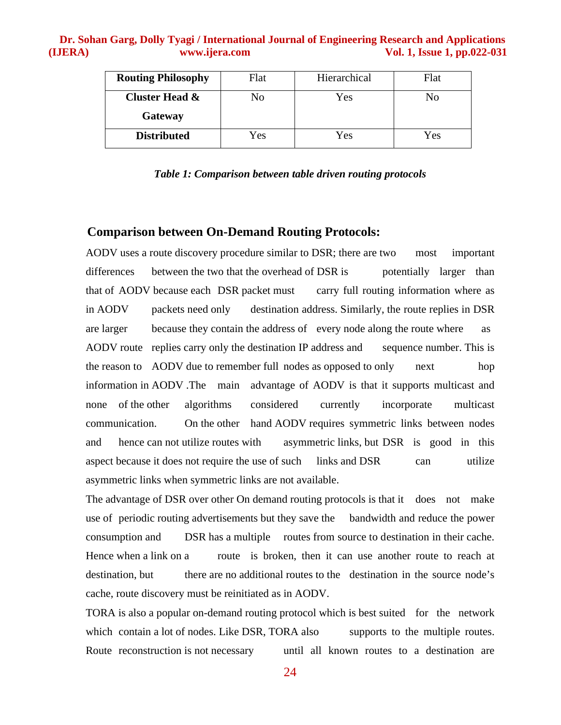| <b>Routing Philosophy</b> | Flat | Hierarchical |     |
|---------------------------|------|--------------|-----|
| Cluster Head &            | No   | Yes          | No  |
| Gateway                   |      |              |     |
| <b>Distributed</b>        | Yes  | Yes          | Yes |

#### *Table 1: Comparison between table driven routing protocols*

#### **Comparison between On-Demand Routing Protocols:**

AODV uses a route discovery procedure similar to DSR; there are two most important differences between the two that the overhead of DSR is potentially larger than that of AODV because each DSR packet must carry full routing information where as in AODV packets need only destination address. Similarly, the route replies in DSR are larger because they contain the address of every node along the route where as AODV route replies carry only the destination IP address and sequence number. This is the reason to AODV due to remember full nodes as opposed to only next hop information in AODV .The main advantage of AODV is that it supports multicast and none of the other algorithms considered currently incorporate multicast communication. On the other hand AODV requires symmetric links between nodes and hence can not utilize routes with asymmetric links, but DSR is good in this aspect because it does not require the use of such links and DSR can utilize asymmetric links when symmetric links are not available.

The advantage of DSR over other On demand routing protocols is that it does not make use of periodic routing advertisements but they save the bandwidth and reduce the power consumption and DSR has a multiple routes from source to destination in their cache. Hence when a link on a route is broken, then it can use another route to reach at destination, but there are no additional routes to the destination in the source node's cache, route discovery must be reinitiated as in AODV.

TORA is also a popular on-demand routing protocol which is best suited for the network which contain a lot of nodes. Like DSR, TORA also supports to the multiple routes. Route reconstruction is not necessary until all known routes to a destination are

24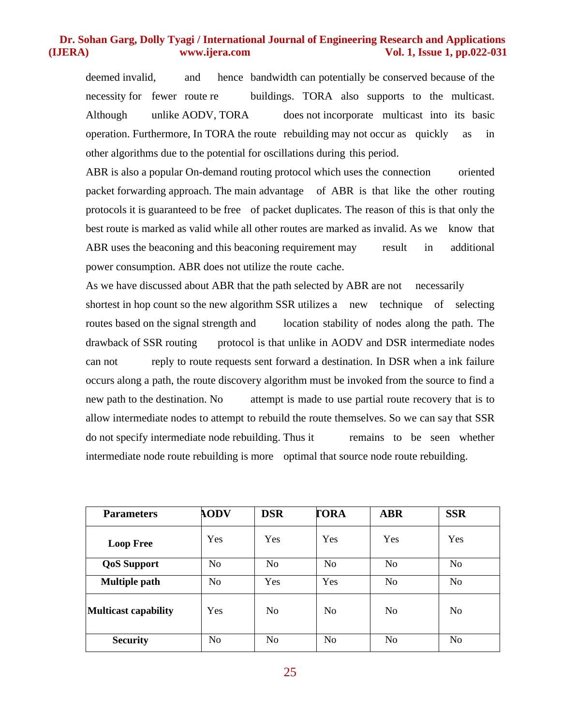deemed invalid, and hence bandwidth can potentially be conserved because of the necessity for fewer route re buildings. TORA also supports to the multicast. Although unlike AODV, TORA does not incorporate multicast into its basic operation. Furthermore, In TORA the route rebuilding may not occur as quickly as in other algorithms due to the potential for oscillations during this period.

ABR is also a popular On-demand routing protocol which uses the connection oriented packet forwarding approach. The main advantage of ABR is that like the other routing protocols it is guaranteed to be free of packet duplicates. The reason of this is that only the best route is marked as valid while all other routes are marked as invalid. As we know that ABR uses the beaconing and this beaconing requirement may result in additional power consumption. ABR does not utilize the route cache.

As we have discussed about ABR that the path selected by ABR are not necessarily shortest in hop count so the new algorithm SSR utilizes a new technique of selecting routes based on the signal strength and location stability of nodes along the path. The drawback of SSR routing protocol is that unlike in AODV and DSR intermediate nodes can not reply to route requests sent forward a destination. In DSR when a ink failure occurs along a path, the route discovery algorithm must be invoked from the source to find a new path to the destination. No attempt is made to use partial route recovery that is to allow intermediate nodes to attempt to rebuild the route themselves. So we can say that SSR do not specify intermediate node rebuilding. Thus it remains to be seen whether intermediate node route rebuilding is more optimal that source node route rebuilding.

| <b>Parameters</b>           | <b>AODV</b>    | <b>DSR</b>     | <b>TORA</b>    | <b>ABR</b>     | <b>SSR</b>     |
|-----------------------------|----------------|----------------|----------------|----------------|----------------|
| <b>Loop Free</b>            | Yes            | Yes            | Yes            | Yes            | Yes            |
| <b>QoS</b> Support          | N <sub>o</sub> | No             | N <sub>o</sub> | N <sub>o</sub> | N <sub>o</sub> |
| <b>Multiple path</b>        | N <sub>o</sub> | Yes            | Yes            | N <sub>o</sub> | N <sub>o</sub> |
| <b>Multicast capability</b> | Yes            | No             | N <sub>0</sub> | N <sub>o</sub> | N <sub>o</sub> |
| <b>Security</b>             | N <sub>o</sub> | N <sub>o</sub> | N <sub>o</sub> | N <sub>o</sub> | N <sub>o</sub> |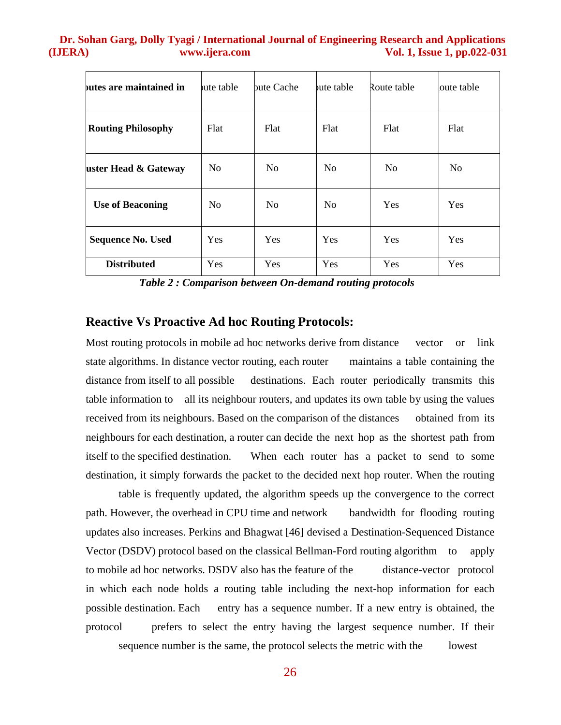| butes are maintained in   | <b>bute table</b> | bute Cache     | bute table     | Route table | oute table     |
|---------------------------|-------------------|----------------|----------------|-------------|----------------|
| <b>Routing Philosophy</b> | Flat              | Flat           | Flat           | Flat        | Flat           |
| uster Head & Gateway      | N <sub>o</sub>    | N <sub>0</sub> | N <sub>0</sub> | No          | N <sub>0</sub> |
| <b>Use of Beaconing</b>   | N <sub>o</sub>    | N <sub>o</sub> | N <sub>o</sub> | Yes         | <b>Yes</b>     |
| <b>Sequence No. Used</b>  | Yes               | Yes            | Yes            | Yes         | <b>Yes</b>     |
| <b>Distributed</b>        | Yes               | Yes            | Yes            | Yes         | Yes            |

*Table 2 : Comparison between On-demand routing protocols*

#### **Reactive Vs Proactive Ad hoc Routing Protocols:**

Most routing protocols in mobile ad hoc networks derive from distance vector or link state algorithms. In distance vector routing, each router maintains a table containing the distance from itself to all possible destinations. Each router periodically transmits this table information to all its neighbour routers, and updates its own table by using the values received from its neighbours. Based on the comparison of the distances obtained from its neighbours for each destination, a router can decide the next hop as the shortest path from itself to the specified destination. When each router has a packet to send to some destination, it simply forwards the packet to the decided next hop router. When the routing

table is frequently updated, the algorithm speeds up the convergence to the correct path. However, the overhead in CPU time and network bandwidth for flooding routing updates also increases. Perkins and Bhagwat [46] devised a Destination-Sequenced Distance Vector (DSDV) protocol based on the classical Bellman-Ford routing algorithm to apply to mobile ad hoc networks. DSDV also has the feature of the distance-vector protocol in which each node holds a routing table including the next-hop information for each possible destination. Each entry has a sequence number. If a new entry is obtained, the protocol prefers to select the entry having the largest sequence number. If their sequence number is the same, the protocol selects the metric with the lowest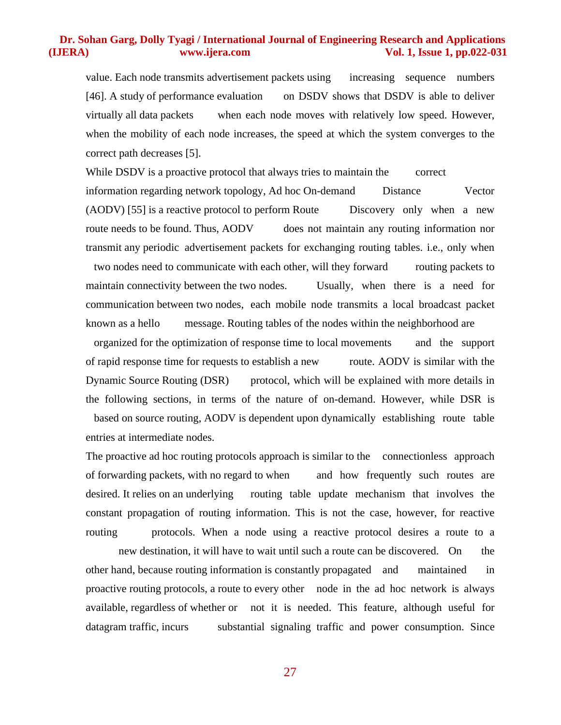value. Each node transmits advertisement packets using increasing sequence numbers [46]. A study of performance evaluation on DSDV shows that DSDV is able to deliver virtually all data packets when each node moves with relatively low speed. However, when the mobility of each node increases, the speed at which the system converges to the correct path decreases [5].

While DSDV is a proactive protocol that always tries to maintain the correct information regarding network topology, Ad hoc On-demand Distance Vector (AODV) [55] is a reactive protocol to perform Route Discovery only when a new route needs to be found. Thus, AODV does not maintain any routing information nor transmit any periodic advertisement packets for exchanging routing tables. i.e., only when two nodes need to communicate with each other, will they forward routing packets to maintain connectivity between the two nodes. Usually, when there is a need for communication between two nodes, each mobile node transmits a local broadcast packet known as a hello message. Routing tables of the nodes within the neighborhood are

organized for the optimization of response time to local movements and the support of rapid response time for requests to establish a new route. AODV is similar with the Dynamic Source Routing (DSR) protocol, which will be explained with more details in the following sections, in terms of the nature of on-demand. However, while DSR is based on source routing, AODV is dependent upon dynamically establishing route table entries at intermediate nodes.

The proactive ad hoc routing protocols approach is similar to the connectionless approach of forwarding packets, with no regard to when and how frequently such routes are desired. It relies on an underlying routing table update mechanism that involves the constant propagation of routing information. This is not the case, however, for reactive routing protocols. When a node using a reactive protocol desires a route to a

new destination, it will have to wait until such a route can be discovered. On the other hand, because routing information is constantly propagated and maintained in proactive routing protocols, a route to every other node in the ad hoc network is always available, regardless of whether or not it is needed. This feature, although useful for datagram traffic, incurs substantial signaling traffic and power consumption. Since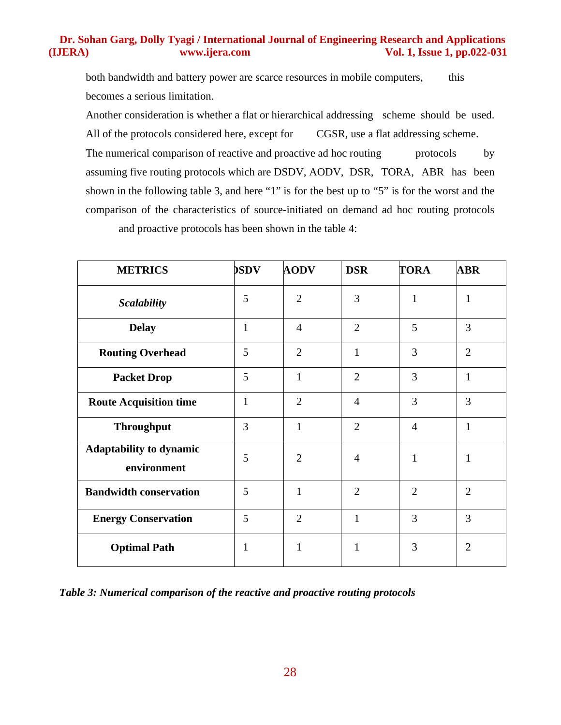both bandwidth and battery power are scarce resources in mobile computers, this becomes a serious limitation.

Another consideration is whether a flat or hierarchical addressing scheme should be used. All of the protocols considered here, except for CGSR, use a flat addressing scheme. The numerical comparison of reactive and proactive ad hoc routing protocols by assuming five routing protocols which are DSDV, AODV, DSR, TORA, ABR has been

shown in the following table 3, and here "1" is for the best up to "5" is for the worst and the comparison of the characteristics of source-initiated on demand ad hoc routing protocols

and proactive protocols has been shown in the table 4:

| <b>METRICS</b>                                | <b>DSDV</b>  | <b>AODV</b>    | <b>DSR</b>     | <b>TORA</b>    | <b>ABR</b>     |
|-----------------------------------------------|--------------|----------------|----------------|----------------|----------------|
| <b>Scalability</b>                            | 5            | $\overline{2}$ | 3              | $\mathbf{1}$   | $\mathbf{1}$   |
| <b>Delay</b>                                  | $\mathbf{1}$ | $\overline{4}$ | $\overline{2}$ | 5              | $\overline{3}$ |
| <b>Routing Overhead</b>                       | 5            | $\overline{2}$ | 1              | 3              | $\overline{2}$ |
| <b>Packet Drop</b>                            | 5            | 1              | $\overline{2}$ | 3              | $\mathbf{1}$   |
| <b>Route Acquisition time</b>                 | $\mathbf{1}$ | $\overline{2}$ | $\overline{4}$ | 3              | 3              |
| <b>Throughput</b>                             | 3            | 1              | $\overline{2}$ | $\overline{4}$ | 1              |
| <b>Adaptability to dynamic</b><br>environment | 5            | $\overline{2}$ | $\overline{A}$ | 1              | 1              |
| <b>Bandwidth conservation</b>                 | 5            | 1              | $\overline{2}$ | $\overline{2}$ | 2              |
| <b>Energy Conservation</b>                    | 5            | $\overline{2}$ | $\mathbf{1}$   | 3              | 3              |
| <b>Optimal Path</b>                           | 1            | $\mathbf{1}$   | $\mathbf{1}$   | 3              | $\overline{2}$ |

*Table 3: Numerical comparison of the reactive and proactive routing protocols*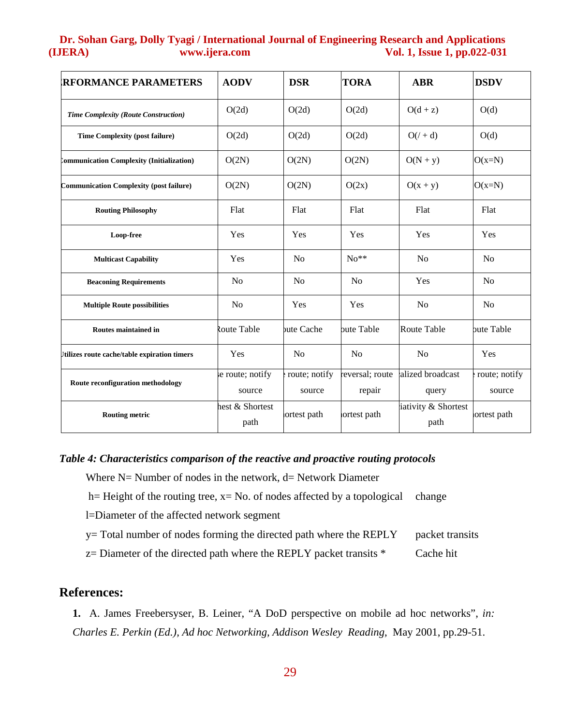| <b>RFORMANCE PARAMETERS</b>                      | <b>AODV</b>                | <b>DSR</b>              | <b>TORA</b>               | <b>ABR</b>                  | <b>DSDV</b>             |
|--------------------------------------------------|----------------------------|-------------------------|---------------------------|-----------------------------|-------------------------|
| Time Complexity (Route Construction)             | O(2d)                      | O(2d)                   | O(2d)                     | $O(d + z)$                  | O(d)                    |
| <b>Time Complexity (post failure)</b>            | O(2d)                      | O(2d)                   | O(2d)                     | $O(1 + d)$                  | O(d)                    |
| <b>Communication Complexity (Initialization)</b> | O(2N)                      | O(2N)                   | O(2N)                     | $O(N + y)$                  | $O(x=N)$                |
| <b>Communication Complexity (post failure)</b>   | O(2N)                      | O(2N)                   | O(2x)                     | $O(x + y)$                  | $O(x=N)$                |
| <b>Routing Philosophy</b>                        | Flat                       | Flat                    | Flat                      | Flat                        | Flat                    |
| Loop-free                                        | Yes                        | Yes                     | Yes                       | Yes                         | Yes                     |
| <b>Multicast Capability</b>                      | Yes                        | N <sub>0</sub>          | $No**$                    | N <sub>o</sub>              | N <sub>0</sub>          |
| <b>Beaconing Requirements</b>                    | N <sub>o</sub>             | N <sub>0</sub>          | No                        | Yes                         | N <sub>0</sub>          |
| <b>Multiple Route possibilities</b>              | No                         | Yes                     | Yes                       | N <sub>o</sub>              | N <sub>0</sub>          |
| Routes maintained in                             | Route Table                | bute Cache              | bute Table                | Route Table                 | bute Table              |
| Itilizes route cache/table expiration timers     | Yes                        | N <sub>0</sub>          | No                        | No                          | Yes                     |
| Route reconfiguration methodology                | se route; notify<br>source | route; notify<br>source | reversal; route<br>repair | alized broadcast<br>query   | route; notify<br>source |
| <b>Routing metric</b>                            | hest & Shortest<br>path    | ortest path             | ortest path               | iativity & Shortest<br>path | ortest path             |

#### *Table 4: Characteristics comparison of the reactive and proactive routing protocols*

- Where  $N=$  Number of nodes in the network,  $d=$  Network Diameter
- h= Height of the routing tree,  $x= No$ . of nodes affected by a topological change

l=Diameter of the affected network segment

- y= Total number of nodes forming the directed path where the REPLY packet transits
- $z =$  Diameter of the directed path where the REPLY packet transits  $*$  Cache hit

# **References:**

**1.** A. James Freebersyser, B. Leiner, "A DoD perspective on mobile ad hoc networks", *in: Charles E. Perkin (Ed.), Ad hoc Networking, Addison Wesley Reading*, May 2001, pp.29-51.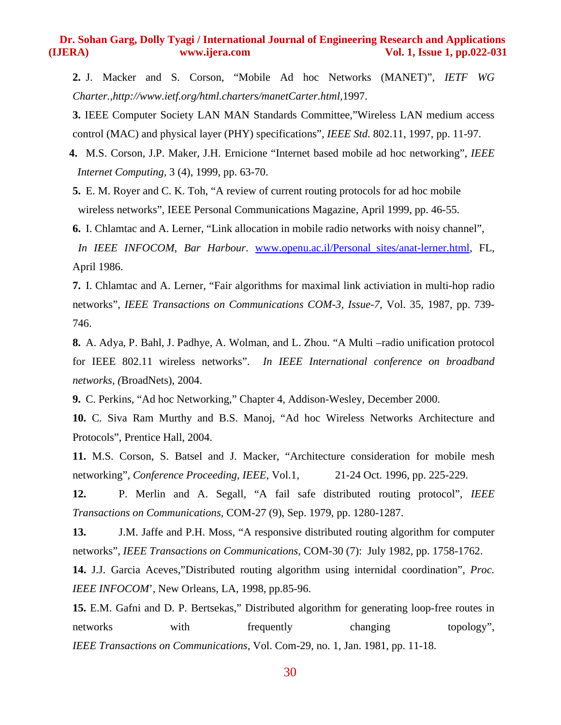**2.** J. Macker and S. Corson, "Mobile Ad hoc Networks (MANET)", *IETF WG Charter.,http://www.ietf.org/html.charters/manetCarter.html,*1997.

**3.** IEEE Computer Society LAN MAN Standards Committee,"Wireless LAN medium access control (MAC) and physical layer (PHY) specifications", *IEEE Std.* 802.11, 1997, pp. 11-97.

 **4.** M.S. Corson, J.P. Maker, J.H. Ernicione "Internet based mobile ad hoc networking", *IEEE Internet Computing,* 3 (4), 1999, pp. 63-70.

**5.** E. M. Royer and C. K. Toh, "A review of current routing protocols for ad hoc mobile wireless networks", IEEE Personal Communications Magazine, April 1999, pp. 46-55.

**6.** I. Chlamtac and A. Lerner, "Link allocation in mobile radio networks with noisy channel",

*In IEEE INFOCOM*, *Bar Harbour*. www.openu.ac.il/Personal\_sites/anat-lerner.html, FL, April 1986.

**7.** I. Chlamtac and A. Lerner, "Fair algorithms for maximal link activiation in multi-hop radio networks", *IEEE Transactions on Communications COM-3, Issue-7,* Vol. 35*,* 1987, pp. 739- 746.

**8.** A. Adya, P. Bahl, J. Padhye, A. Wolman, and L. Zhou. "A Multi –radio unification protocol for IEEE 802.11 wireless networks". *In IEEE International conference on broadband networks, (*BroadNets), 2004.

**9.** C. Perkins, "Ad hoc Networking," Chapter 4, Addison-Wesley, December 2000.

**10.** C. Siva Ram Murthy and B.S. Manoj, "Ad hoc Wireless Networks Architecture and Protocols", Prentice Hall, 2004.

**11.** M.S. Corson, S. Batsel and J. Macker, "Architecture consideration for mobile mesh networking", *Conference Proceeding, IEEE,* Vol.1*,* 21-24 Oct. 1996, pp. 225-229.

**12.** P. Merlin and A. Segall, "A fail safe distributed routing protocol", *IEEE Transactions on Communications,* COM-27 (9), Sep. 1979, pp. 1280-1287.

**13.** J.M. Jaffe and P.H. Moss, "A responsive distributed routing algorithm for computer networks", *IEEE Transactions on Communications,* COM-30 (7): July 1982, pp. 1758-1762.

**14.** J.J. Garcia Aceves,"Distributed routing algorithm using internidal coordination", *Proc. IEEE INFOCOM*', New Orleans, LA, 1998, pp.85-96.

**15.** E.M. Gafni and D. P. Bertsekas," Distributed algorithm for generating loop-free routes in networks with frequently changing topology", *IEEE Transactions on Communications,* Vol. Com-29, no. 1, Jan. 1981, pp. 11-18.

30